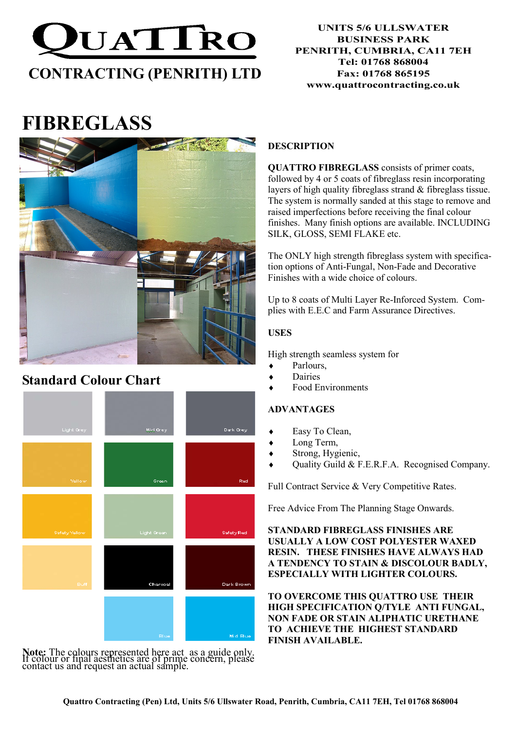

## UNITS 5/6 ULLSWATER BUSINESS PARK PENRITH, CUMBRIA, CA11 7EH Tel: 01768 868004 Fax: 01768 865195 www.quattrocontracting.co.uk

# FIBREGLASS



## Standard Colour Chart



Note: The colours represented here act as a guide only. If colour or final aesthetics are of prime concern, please contact us and request an actual sample.

## **DESCRIPTION**

QUATTRO FIBREGLASS consists of primer coats, followed by 4 or 5 coats of fibreglass resin incorporating layers of high quality fibreglass strand & fibreglass tissue. The system is normally sanded at this stage to remove and raised imperfections before receiving the final colour finishes. Many finish options are available. INCLUDING SILK, GLOSS, SEMI FLAKE etc.

The ONLY high strength fibreglass system with specification options of Anti-Fungal, Non-Fade and Decorative Finishes with a wide choice of colours.

Up to 8 coats of Multi Layer Re-Inforced System. Complies with E.E.C and Farm Assurance Directives.

## USES

High strength seamless system for

- Parlours.
- **Dairies**
- **Food Environments**

## ADVANTAGES

- Easy To Clean,
- Long Term,
- Strong, Hygienic,
- Quality Guild  $&$  F.E.R.F.A. Recognised Company.

Full Contract Service & Very Competitive Rates.

Free Advice From The Planning Stage Onwards.

STANDARD FIBREGLASS FINISHES ARE USUALLY A LOW COST POLYESTER WAXED RESIN. THESE FINISHES HAVE ALWAYS HAD A TENDENCY TO STAIN & DISCOLOUR BADLY, ESPECIALLY WITH LIGHTER COLOURS.

TO OVERCOME THIS QUATTRO USE THEIR HIGH SPECIFICATION Q/TYLE ANTI FUNGAL, NON FADE OR STAIN ALIPHATIC URETHANE TO ACHIEVE THE HIGHEST STANDARD FINISH AVAILABLE.